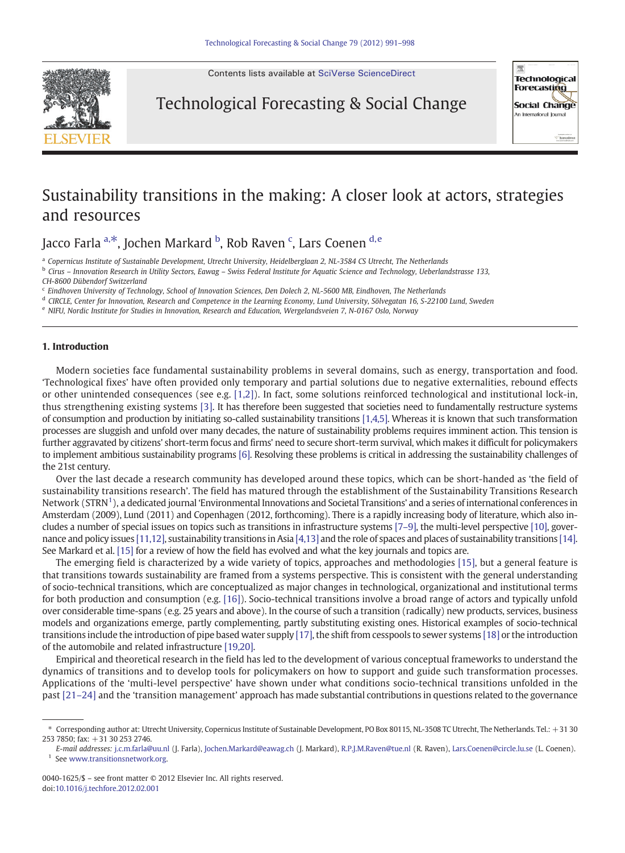Contents lists available at [SciVerse ScienceDirect](http://www.sciencedirect.com/science/journal/00401625)

# Technological Forecasting & Social Change



# Sustainability transitions in the making: A closer look at actors, strategies and resources

Jacco Farla <sup>a, $\ast$ </sup>, Jochen Markard <sup>b</sup>, Rob Raven <sup>c</sup>, Lars Coenen <sup>d, e</sup>

<sup>a</sup> Copernicus Institute of Sustainable Development, Utrecht University, Heidelberglaan 2, NL-3584 CS Utrecht, The Netherlands

b Cirus – Innovation Research in Utility Sectors, Eawag – Swiss Federal Institute for Aquatic Science and Technology, Ueberlandstrasse 133,

CH-8600 Dübendorf Switzerland

<sup>c</sup> Eindhoven University of Technology, School of Innovation Sciences, Den Dolech 2, NL-5600 MB, Eindhoven, The Netherlands

<sup>d</sup> CIRCLE, Center for Innovation, Research and Competence in the Learning Economy, Lund University, Sölvegatan 16, S-22100 Lund, Sweden

<sup>e</sup> NIFU, Nordic Institute for Studies in Innovation, Research and Education, Wergelandsveien 7, N-0167 Oslo, Norway

### 1. Introduction

Modern societies face fundamental sustainability problems in several domains, such as energy, transportation and food. 'Technological fixes' have often provided only temporary and partial solutions due to negative externalities, rebound effects or other unintended consequences (see e.g. [\[1,2\]](#page-6-0)). In fact, some solutions reinforced technological and institutional lock-in, thus strengthening existing systems [\[3\]](#page-6-0). It has therefore been suggested that societies need to fundamentally restructure systems of consumption and production by initiating so-called sustainability transitions [\[1,4,5\]](#page-6-0). Whereas it is known that such transformation processes are sluggish and unfold over many decades, the nature of sustainability problems requires imminent action. This tension is further aggravated by citizens' short-term focus and firms' need to secure short-term survival, which makes it difficult for policymakers to implement ambitious sustainability programs [\[6\].](#page-6-0) Resolving these problems is critical in addressing the sustainability challenges of the 21st century.

Over the last decade a research community has developed around these topics, which can be short-handed as 'the field of sustainability transitions research'. The field has matured through the establishment of the Sustainability Transitions Research Network (STRN<sup>1</sup>), a dedicated journal 'Environmental Innovations and Societal Transitions' and a series of international conferences in Amsterdam (2009), Lund (2011) and Copenhagen (2012, forthcoming). There is a rapidly increasing body of literature, which also includes a number of special issues on topics such as transitions in infrastructure systems [\[7](#page-6-0)–9], the multi-level perspective [\[10\]](#page-6-0), governance and policy issues [\[11,12\]](#page-6-0), sustainability transitions in Asia [\[4,13\]](#page-6-0) and the role of spaces and places of sustainability transitions [\[14\]](#page-6-0). See Markard et al. [\[15\]](#page-6-0) for a review of how the field has evolved and what the key journals and topics are.

The emerging field is characterized by a wide variety of topics, approaches and methodologies [\[15\],](#page-6-0) but a general feature is that transitions towards sustainability are framed from a systems perspective. This is consistent with the general understanding of socio-technical transitions, which are conceptualized as major changes in technological, organizational and institutional terms for both production and consumption (e.g. [\[16\]](#page-6-0)). Socio-technical transitions involve a broad range of actors and typically unfold over considerable time-spans (e.g. 25 years and above). In the course of such a transition (radically) new products, services, business models and organizations emerge, partly complementing, partly substituting existing ones. Historical examples of socio-technical transitions include the introduction of pipe based water supply [\[17\],](#page-6-0) the shift from cesspools to sewer systems [\[18\]](#page-6-0) or the introduction of the automobile and related infrastructure [\[19,20\]](#page-6-0).

Empirical and theoretical research in the field has led to the development of various conceptual frameworks to understand the dynamics of transitions and to develop tools for policymakers on how to support and guide such transformation processes. Applications of the 'multi-level perspective' have shown under what conditions socio-technical transitions unfolded in the past [\[21](#page-6-0)–24] and the 'transition management' approach has made substantial contributions in questions related to the governance

<sup>⁎</sup> Corresponding author at: Utrecht University, Copernicus Institute of Sustainable Development, PO Box 80115, NL-3508 TC Utrecht, The Netherlands. Tel.: +31 30 253 7850; fax: +31 30 253 2746.

E-mail addresses: [j.c.m.farla@uu.nl](mailto:j.c.m.farla@uu.nl) (J. Farla), [Jochen.Markard@eawag.ch](mailto:Jochen.Markard@eawag.ch) (J. Markard), [R.P.J.M.Raven@tue.nl](mailto:R.P.J.M.Raven@tue.nl) (R. Raven), [Lars.Coenen@circle.lu.se](mailto:Lars.Coenen@circle.lu.se) (L. Coenen). <sup>1</sup> See [www.transitionsnetwork.org.](http://www.transitionsnetwork.org)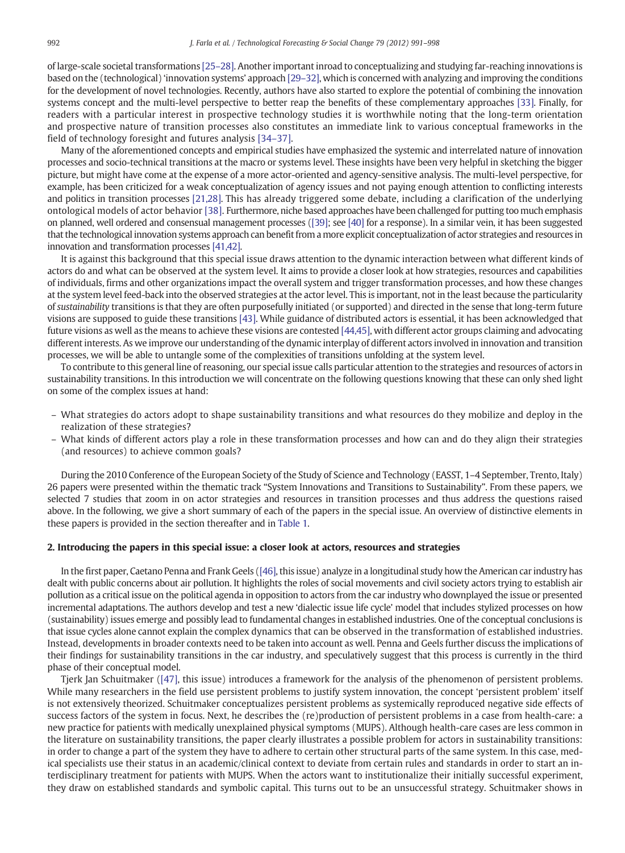of large-scale societal transformations [25–[28\].](#page-6-0) Another important inroad to conceptualizing and studying far-reaching innovations is based on the (technological) 'innovation systems' approach [\[29](#page-6-0)–32], which is concerned with analyzing and improving the conditions for the development of novel technologies. Recently, authors have also started to explore the potential of combining the innovation systems concept and the multi-level perspective to better reap the benefits of these complementary approaches [\[33\].](#page-6-0) Finally, for readers with a particular interest in prospective technology studies it is worthwhile noting that the long-term orientation and prospective nature of transition processes also constitutes an immediate link to various conceptual frameworks in the field of technology foresight and futures analysis [\[34](#page-6-0)–37].

Many of the aforementioned concepts and empirical studies have emphasized the systemic and interrelated nature of innovation processes and socio-technical transitions at the macro or systems level. These insights have been very helpful in sketching the bigger picture, but might have come at the expense of a more actor-oriented and agency-sensitive analysis. The multi-level perspective, for example, has been criticized for a weak conceptualization of agency issues and not paying enough attention to conflicting interests and politics in transition processes [\[21,28\]](#page-6-0). This has already triggered some debate, including a clarification of the underlying ontological models of actor behavior [\[38\]](#page-6-0). Furthermore, niche based approaches have been challenged for putting too much emphasis on planned, well ordered and consensual management processes [\(\[39\]](#page-6-0); see [\[40\]](#page-7-0) for a response). In a similar vein, it has been suggested that the technological innovation systems approach can benefit from a more explicit conceptualization of actor strategies and resources in innovation and transformation processes [\[41,42\]](#page-7-0).

It is against this background that this special issue draws attention to the dynamic interaction between what different kinds of actors do and what can be observed at the system level. It aims to provide a closer look at how strategies, resources and capabilities of individuals, firms and other organizations impact the overall system and trigger transformation processes, and how these changes at the system level feed-back into the observed strategies at the actor level. This is important, not in the least because the particularity of sustainability transitions is that they are often purposefully initiated (or supported) and directed in the sense that long-term future visions are supposed to guide these transitions [\[43\].](#page-7-0) While guidance of distributed actors is essential, it has been acknowledged that future visions as well as the means to achieve these visions are contested [\[44,45\]](#page-7-0), with different actor groups claiming and advocating different interests. As we improve our understanding of the dynamic interplay of different actors involved in innovation and transition processes, we will be able to untangle some of the complexities of transitions unfolding at the system level.

To contribute to this general line of reasoning, our special issue calls particular attention to the strategies and resources of actors in sustainability transitions. In this introduction we will concentrate on the following questions knowing that these can only shed light on some of the complex issues at hand:

- What strategies do actors adopt to shape sustainability transitions and what resources do they mobilize and deploy in the realization of these strategies?
- What kinds of different actors play a role in these transformation processes and how can and do they align their strategies (and resources) to achieve common goals?

During the 2010 Conference of the European Society of the Study of Science and Technology (EASST, 1–4 September, Trento, Italy) 26 papers were presented within the thematic track "System Innovations and Transitions to Sustainability". From these papers, we selected 7 studies that zoom in on actor strategies and resources in transition processes and thus address the questions raised above. In the following, we give a short summary of each of the papers in the special issue. An overview of distinctive elements in these papers is provided in the section thereafter and in [Table 1.](#page-2-0)

#### 2. Introducing the papers in this special issue: a closer look at actors, resources and strategies

In the first paper, Caetano Penna and Frank Geels [\(\[46\]](#page-7-0), this issue) analyze in a longitudinal study how the American car industry has dealt with public concerns about air pollution. It highlights the roles of social movements and civil society actors trying to establish air pollution as a critical issue on the political agenda in opposition to actors from the car industry who downplayed the issue or presented incremental adaptations. The authors develop and test a new 'dialectic issue life cycle' model that includes stylized processes on how (sustainability) issues emerge and possibly lead to fundamental changes in established industries. One of the conceptual conclusions is that issue cycles alone cannot explain the complex dynamics that can be observed in the transformation of established industries. Instead, developments in broader contexts need to be taken into account as well. Penna and Geels further discuss the implications of their findings for sustainability transitions in the car industry, and speculatively suggest that this process is currently in the third phase of their conceptual model.

Tjerk Jan Schuitmaker ([\[47\],](#page-7-0) this issue) introduces a framework for the analysis of the phenomenon of persistent problems. While many researchers in the field use persistent problems to justify system innovation, the concept 'persistent problem' itself is not extensively theorized. Schuitmaker conceptualizes persistent problems as systemically reproduced negative side effects of success factors of the system in focus. Next, he describes the (re)production of persistent problems in a case from health-care: a new practice for patients with medically unexplained physical symptoms (MUPS). Although health-care cases are less common in the literature on sustainability transitions, the paper clearly illustrates a possible problem for actors in sustainability transitions: in order to change a part of the system they have to adhere to certain other structural parts of the same system. In this case, medical specialists use their status in an academic/clinical context to deviate from certain rules and standards in order to start an interdisciplinary treatment for patients with MUPS. When the actors want to institutionalize their initially successful experiment, they draw on established standards and symbolic capital. This turns out to be an unsuccessful strategy. Schuitmaker shows in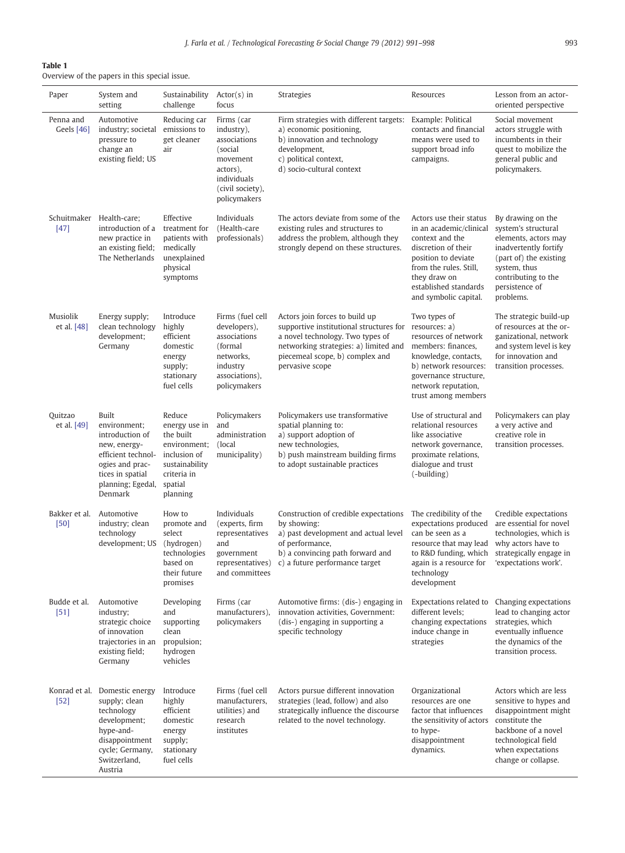## <span id="page-2-0"></span>Table 1

Overview of the papers in this special issue.

| Paper                   | System and<br>setting                                                                                                                                 | Sustainability<br>challenge                                                                                                  | $Actor(s)$ in<br>focus                                                                                                         | Strategies                                                                                                                                                                                                   | Resources                                                                                                                                                                                                       | Lesson from an actor-<br>oriented perspective                                                                                                                                             |
|-------------------------|-------------------------------------------------------------------------------------------------------------------------------------------------------|------------------------------------------------------------------------------------------------------------------------------|--------------------------------------------------------------------------------------------------------------------------------|--------------------------------------------------------------------------------------------------------------------------------------------------------------------------------------------------------------|-----------------------------------------------------------------------------------------------------------------------------------------------------------------------------------------------------------------|-------------------------------------------------------------------------------------------------------------------------------------------------------------------------------------------|
| Penna and<br>Geels [46] | Automotive<br>industry; societal<br>pressure to<br>change an<br>existing field; US                                                                    | Reducing car<br>emissions to<br>get cleaner<br>air                                                                           | Firms (car<br>industry),<br>associations<br>(social<br>movement<br>actors),<br>individuals<br>(civil society),<br>policymakers | Firm strategies with different targets:<br>a) economic positioning,<br>b) innovation and technology<br>development,<br>c) political context,<br>d) socio-cultural context                                    | Example: Political<br>contacts and financial<br>means were used to<br>support broad info<br>campaigns.                                                                                                          | Social movement<br>actors struggle with<br>incumbents in their<br>quest to mobilize the<br>general public and<br>policymakers.                                                            |
| Schuitmaker<br>[47]     | Health-care:<br>introduction of a<br>new practice in<br>an existing field;<br>The Netherlands                                                         | Effective<br>treatment for<br>patients with<br>medically<br>unexplained<br>physical<br>symptoms                              | Individuals<br>(Health-care<br>professionals)                                                                                  | The actors deviate from some of the<br>existing rules and structures to<br>address the problem, although they<br>strongly depend on these structures.                                                        | Actors use their status<br>in an academic/clinical<br>context and the<br>discretion of their<br>position to deviate<br>from the rules. Still,<br>they draw on<br>established standards<br>and symbolic capital. | By drawing on the<br>system's structural<br>elements, actors may<br>inadvertently fortify<br>(part of) the existing<br>system, thus<br>contributing to the<br>persistence of<br>problems. |
| Musiolik<br>et al. [48] | Energy supply;<br>clean technology<br>development;<br>Germany                                                                                         | Introduce<br>highly<br>efficient<br>domestic<br>energy<br>supply;<br>stationary<br>fuel cells                                | Firms (fuel cell<br>developers),<br>associations<br>(formal<br>networks,<br>industry<br>associations),<br>policymakers         | Actors join forces to build up<br>supportive institutional structures for<br>a novel technology. Two types of<br>networking strategies: a) limited and<br>piecemeal scope, b) complex and<br>pervasive scope | Two types of<br>resources: a)<br>resources of network<br>members: finances,<br>knowledge, contacts,<br>b) network resources:<br>governance structure,<br>network reputation,<br>trust among members             | The strategic build-up<br>of resources at the or-<br>ganizational, network<br>and system level is key<br>for innovation and<br>transition processes.                                      |
| Ouitzao<br>et al. [49]  | Built<br>environment;<br>introduction of<br>new, energy-<br>efficient technol-<br>ogies and prac-<br>tices in spatial<br>planning; Egedal,<br>Denmark | Reduce<br>energy use in<br>the built<br>environment;<br>inclusion of<br>sustainability<br>criteria in<br>spatial<br>planning | Policymakers<br>and<br>administration<br>(local)<br>municipality)                                                              | Policymakers use transformative<br>spatial planning to:<br>a) support adoption of<br>new technologies,<br>b) push mainstream building firms<br>to adopt sustainable practices                                | Use of structural and<br>relational resources<br>like associative<br>network governance,<br>proximate relations,<br>dialogue and trust<br>(-building)                                                           | Policymakers can play<br>a very active and<br>creative role in<br>transition processes.                                                                                                   |
| Bakker et al.<br>$[50]$ | Automotive<br>industry; clean<br>technology<br>development; US                                                                                        | How to<br>promote and<br>select<br>(hydrogen)<br>technologies<br>based on<br>their future<br>promises                        | Individuals<br>(experts, firm<br>representatives<br>and<br>government<br>representatives)<br>and committees                    | Construction of credible expectations<br>by showing:<br>a) past development and actual level<br>of performance,<br>b) a convincing path forward and<br>c) a future performance target                        | The credibility of the<br>expectations produced<br>can be seen as a<br>resource that may lead<br>to R&D funding, which<br>again is a resource for<br>technology<br>development                                  | Credible expectations<br>are essential for novel<br>technologies, which is<br>why actors have to<br>strategically engage in<br>'expectations work'.                                       |
| Budde et al.<br>$[51]$  | Automotive<br>industry;<br>strategic choice<br>of innovation<br>trajectories in an<br>existing field;<br>Germany                                      | Developing<br>and<br>supporting<br>clean<br>propulsion;<br>hydrogen<br>vehicles                                              | Firms (car<br>manufacturers),<br>policymakers                                                                                  | Automotive firms: (dis-) engaging in<br>innovation activities, Government:<br>(dis-) engaging in supporting a<br>specific technology                                                                         | Expectations related to<br>different levels;<br>changing expectations<br>induce change in<br>strategies                                                                                                         | Changing expectations<br>lead to changing actor<br>strategies, which<br>eventually influence<br>the dynamics of the<br>transition process.                                                |
| Konrad et al.<br>$[52]$ | Domestic energy<br>supply; clean<br>technology<br>development;<br>hype-and-<br>disappointment<br>cycle; Germany,<br>Switzerland,<br>Austria           | Introduce<br>highly<br>efficient<br>domestic<br>energy<br>supply;<br>stationary<br>fuel cells                                | Firms (fuel cell<br>manufacturers,<br>utilities) and<br>research<br>institutes                                                 | Actors pursue different innovation<br>strategies (lead, follow) and also<br>strategically influence the discourse<br>related to the novel technology.                                                        | Organizational<br>resources are one<br>factor that influences<br>the sensitivity of actors<br>to hype-<br>disappointment<br>dynamics.                                                                           | Actors which are less<br>sensitive to hypes and<br>disappointment might<br>constitute the<br>backbone of a novel<br>technological field<br>when expectations<br>change or collapse.       |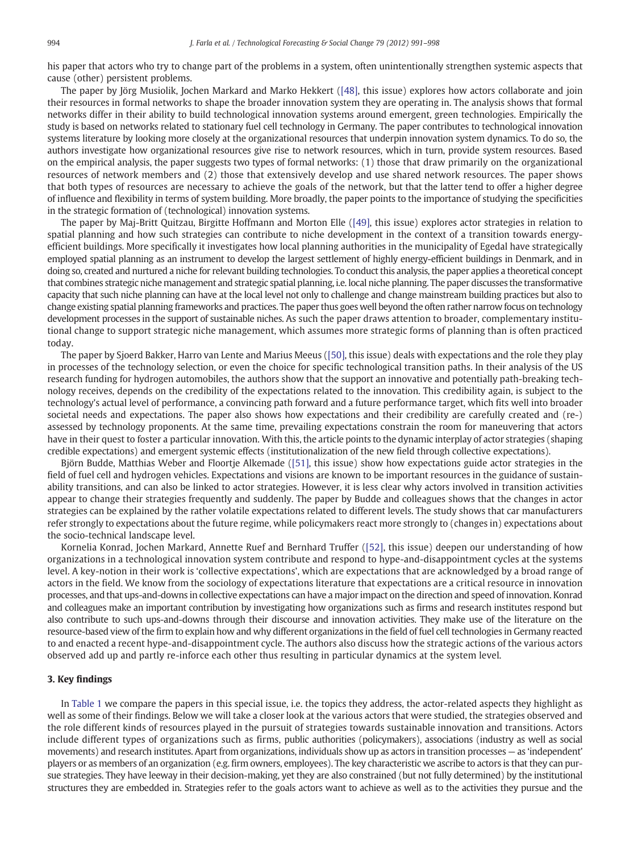his paper that actors who try to change part of the problems in a system, often unintentionally strengthen systemic aspects that cause (other) persistent problems.

The paper by Jörg Musiolik, Jochen Markard and Marko Hekkert ([\[48\],](#page-7-0) this issue) explores how actors collaborate and join their resources in formal networks to shape the broader innovation system they are operating in. The analysis shows that formal networks differ in their ability to build technological innovation systems around emergent, green technologies. Empirically the study is based on networks related to stationary fuel cell technology in Germany. The paper contributes to technological innovation systems literature by looking more closely at the organizational resources that underpin innovation system dynamics. To do so, the authors investigate how organizational resources give rise to network resources, which in turn, provide system resources. Based on the empirical analysis, the paper suggests two types of formal networks: (1) those that draw primarily on the organizational resources of network members and (2) those that extensively develop and use shared network resources. The paper shows that both types of resources are necessary to achieve the goals of the network, but that the latter tend to offer a higher degree of influence and flexibility in terms of system building. More broadly, the paper points to the importance of studying the specificities in the strategic formation of (technological) innovation systems.

The paper by Maj-Britt Quitzau, Birgitte Hoffmann and Morton Elle [\(\[49\]](#page-7-0), this issue) explores actor strategies in relation to spatial planning and how such strategies can contribute to niche development in the context of a transition towards energyefficient buildings. More specifically it investigates how local planning authorities in the municipality of Egedal have strategically employed spatial planning as an instrument to develop the largest settlement of highly energy-efficient buildings in Denmark, and in doing so, created and nurtured a niche for relevant building technologies. To conduct this analysis, the paper applies a theoretical concept that combines strategic niche management and strategic spatial planning, i.e. local niche planning. The paper discusses the transformative capacity that such niche planning can have at the local level not only to challenge and change mainstream building practices but also to change existing spatial planning frameworks and practices. The paper thus goes well beyond the often rather narrow focus on technology development processes in the support of sustainable niches. As such the paper draws attention to broader, complementary institutional change to support strategic niche management, which assumes more strategic forms of planning than is often practiced today.

The paper by Sjoerd Bakker, Harro van Lente and Marius Meeus ([\[50\]](#page-7-0), this issue) deals with expectations and the role they play in processes of the technology selection, or even the choice for specific technological transition paths. In their analysis of the US research funding for hydrogen automobiles, the authors show that the support an innovative and potentially path-breaking technology receives, depends on the credibility of the expectations related to the innovation. This credibility again, is subject to the technology's actual level of performance, a convincing path forward and a future performance target, which fits well into broader societal needs and expectations. The paper also shows how expectations and their credibility are carefully created and (re-) assessed by technology proponents. At the same time, prevailing expectations constrain the room for maneuvering that actors have in their quest to foster a particular innovation. With this, the article points to the dynamic interplay of actor strategies (shaping credible expectations) and emergent systemic effects (institutionalization of the new field through collective expectations).

Björn Budde, Matthias Weber and Floortie Alkemade [\(\[51\]](#page-7-0), this issue) show how expectations guide actor strategies in the field of fuel cell and hydrogen vehicles. Expectations and visions are known to be important resources in the guidance of sustainability transitions, and can also be linked to actor strategies. However, it is less clear why actors involved in transition activities appear to change their strategies frequently and suddenly. The paper by Budde and colleagues shows that the changes in actor strategies can be explained by the rather volatile expectations related to different levels. The study shows that car manufacturers refer strongly to expectations about the future regime, while policymakers react more strongly to (changes in) expectations about the socio-technical landscape level.

Kornelia Konrad, Jochen Markard, Annette Ruef and Bernhard Truffer ([\[52\],](#page-7-0) this issue) deepen our understanding of how organizations in a technological innovation system contribute and respond to hype-and-disappointment cycles at the systems level. A key-notion in their work is 'collective expectations', which are expectations that are acknowledged by a broad range of actors in the field. We know from the sociology of expectations literature that expectations are a critical resource in innovation processes, and that ups-and-downs in collective expectations can have a major impact on the direction and speed of innovation. Konrad and colleagues make an important contribution by investigating how organizations such as firms and research institutes respond but also contribute to such ups-and-downs through their discourse and innovation activities. They make use of the literature on the resource-based view of the firm to explain how and why different organizations in the field of fuel cell technologies in Germany reacted to and enacted a recent hype-and-disappointment cycle. The authors also discuss how the strategic actions of the various actors observed add up and partly re-inforce each other thus resulting in particular dynamics at the system level.

### 3. Key findings

In [Table 1](#page-2-0) we compare the papers in this special issue, i.e. the topics they address, the actor-related aspects they highlight as well as some of their findings. Below we will take a closer look at the various actors that were studied, the strategies observed and the role different kinds of resources played in the pursuit of strategies towards sustainable innovation and transitions. Actors include different types of organizations such as firms, public authorities (policymakers), associations (industry as well as social movements) and research institutes. Apart from organizations, individuals show up as actors in transition processes — as 'independent' players or as members of an organization (e.g. firm owners, employees). The key characteristic we ascribe to actors is that they can pursue strategies. They have leeway in their decision-making, yet they are also constrained (but not fully determined) by the institutional structures they are embedded in. Strategies refer to the goals actors want to achieve as well as to the activities they pursue and the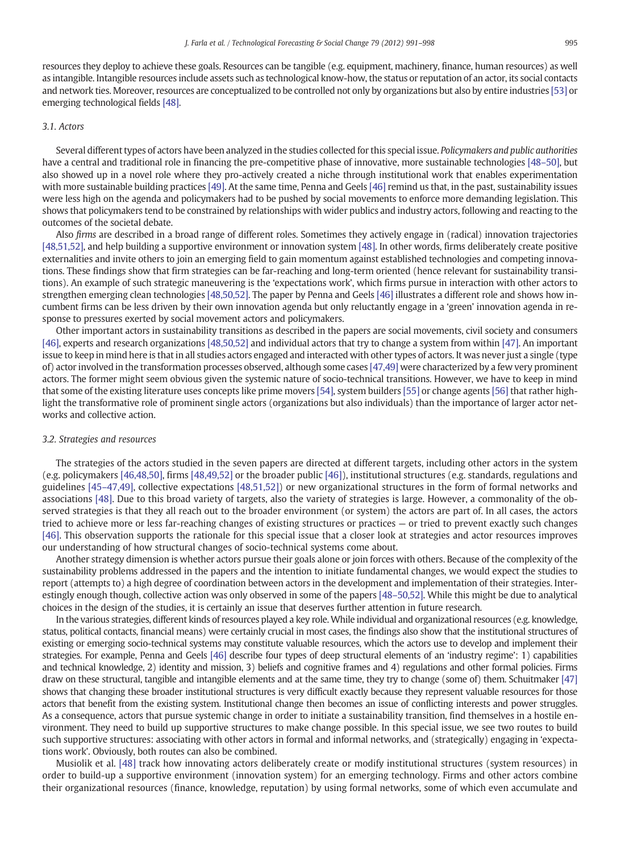resources they deploy to achieve these goals. Resources can be tangible (e.g. equipment, machinery, finance, human resources) as well as intangible. Intangible resources include assets such as technological know-how, the status or reputation of an actor, its social contacts and network ties. Moreover, resources are conceptualized to be controlled not only by organizations but also by entire industries [\[53\]](#page-7-0) or emerging technological fields [\[48\].](#page-7-0)

# 3.1. Actors

Several different types of actors have been analyzed in the studies collected for this special issue. Policymakers and public authorities have a central and traditional role in financing the pre-competitive phase of innovative, more sustainable technologies [\[48](#page-7-0)–50], but also showed up in a novel role where they pro-actively created a niche through institutional work that enables experimentation with more sustainable building practices [\[49\].](#page-7-0) At the same time, Penna and Geels [\[46\]](#page-7-0) remind us that, in the past, sustainability issues were less high on the agenda and policymakers had to be pushed by social movements to enforce more demanding legislation. This shows that policymakers tend to be constrained by relationships with wider publics and industry actors, following and reacting to the outcomes of the societal debate.

Also firms are described in a broad range of different roles. Sometimes they actively engage in (radical) innovation trajectories [\[48,51,52\],](#page-7-0) and help building a supportive environment or innovation system [\[48\].](#page-7-0) In other words, firms deliberately create positive externalities and invite others to join an emerging field to gain momentum against established technologies and competing innovations. These findings show that firm strategies can be far-reaching and long-term oriented (hence relevant for sustainability transitions). An example of such strategic maneuvering is the 'expectations work', which firms pursue in interaction with other actors to strengthen emerging clean technologies [\[48,50,52\]](#page-7-0). The paper by Penna and Geels [\[46\]](#page-7-0) illustrates a different role and shows how incumbent firms can be less driven by their own innovation agenda but only reluctantly engage in a 'green' innovation agenda in response to pressures exerted by social movement actors and policymakers.

Other important actors in sustainability transitions as described in the papers are social movements, civil society and consumers [\[46\]](#page-7-0), experts and research organizations [\[48,50,52\]](#page-7-0) and individual actors that try to change a system from within [\[47\].](#page-7-0) An important issue to keep in mind here is that in all studies actors engaged and interacted with other types of actors. It was never just a single (type of) actor involved in the transformation processes observed, although some cases [\[47,49\]](#page-7-0) were characterized by a few very prominent actors. The former might seem obvious given the systemic nature of socio-technical transitions. However, we have to keep in mind that some of the existing literature uses concepts like prime movers [\[54\]](#page-7-0), system builders [\[55\]](#page-7-0) or change agents [\[56\]](#page-7-0) that rather highlight the transformative role of prominent single actors (organizations but also individuals) than the importance of larger actor networks and collective action.

#### 3.2. Strategies and resources

The strategies of the actors studied in the seven papers are directed at different targets, including other actors in the system (e.g. policymakers [\[46,48,50\],](#page-7-0) firms [\[48,49,52\]](#page-7-0) or the broader public [\[46\]\)](#page-7-0), institutional structures (e.g. standards, regulations and guidelines [45–[47,49\]](#page-7-0), collective expectations [\[48,51,52\]\)](#page-7-0) or new organizational structures in the form of formal networks and associations [\[48\].](#page-7-0) Due to this broad variety of targets, also the variety of strategies is large. However, a commonality of the observed strategies is that they all reach out to the broader environment (or system) the actors are part of. In all cases, the actors tried to achieve more or less far-reaching changes of existing structures or practices — or tried to prevent exactly such changes [\[46\].](#page-7-0) This observation supports the rationale for this special issue that a closer look at strategies and actor resources improves our understanding of how structural changes of socio-technical systems come about.

Another strategy dimension is whether actors pursue their goals alone or join forces with others. Because of the complexity of the sustainability problems addressed in the papers and the intention to initiate fundamental changes, we would expect the studies to report (attempts to) a high degree of coordination between actors in the development and implementation of their strategies. Interestingly enough though, collective action was only observed in some of the papers [48–[50,52\].](#page-7-0) While this might be due to analytical choices in the design of the studies, it is certainly an issue that deserves further attention in future research.

In the various strategies, different kinds of resources played a key role. While individual and organizational resources (e.g. knowledge, status, political contacts, financial means) were certainly crucial in most cases, the findings also show that the institutional structures of existing or emerging socio-technical systems may constitute valuable resources, which the actors use to develop and implement their strategies. For example, Penna and Geels [\[46\]](#page-7-0) describe four types of deep structural elements of an 'industry regime': 1) capabilities and technical knowledge, 2) identity and mission, 3) beliefs and cognitive frames and 4) regulations and other formal policies. Firms draw on these structural, tangible and intangible elements and at the same time, they try to change (some of) them. Schuitmaker [\[47\]](#page-7-0) shows that changing these broader institutional structures is very difficult exactly because they represent valuable resources for those actors that benefit from the existing system. Institutional change then becomes an issue of conflicting interests and power struggles. As a consequence, actors that pursue systemic change in order to initiate a sustainability transition, find themselves in a hostile environment. They need to build up supportive structures to make change possible. In this special issue, we see two routes to build such supportive structures: associating with other actors in formal and informal networks, and (strategically) engaging in 'expectations work'. Obviously, both routes can also be combined.

Musiolik et al. [\[48\]](#page-7-0) track how innovating actors deliberately create or modify institutional structures (system resources) in order to build-up a supportive environment (innovation system) for an emerging technology. Firms and other actors combine their organizational resources (finance, knowledge, reputation) by using formal networks, some of which even accumulate and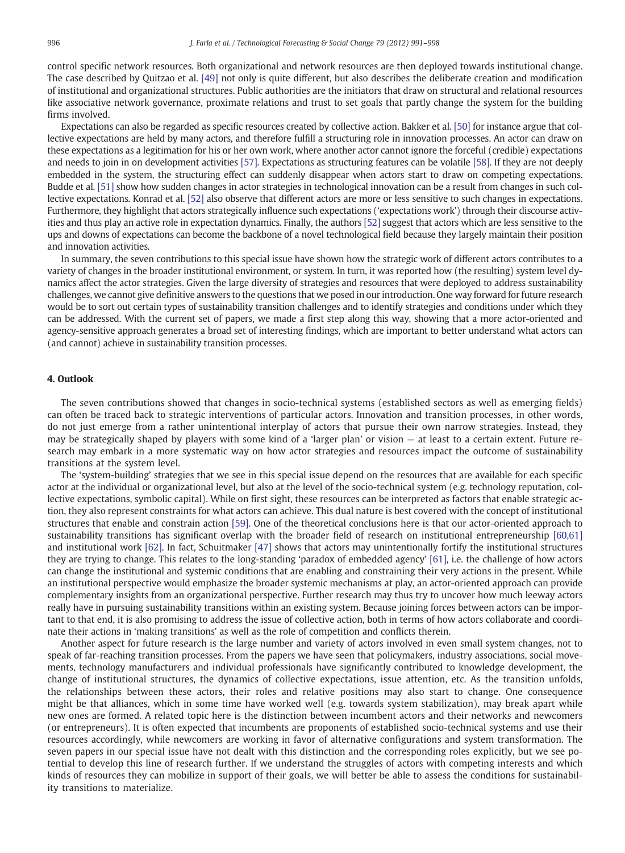control specific network resources. Both organizational and network resources are then deployed towards institutional change. The case described by Quitzao et al. [\[49\]](#page-7-0) not only is quite different, but also describes the deliberate creation and modification of institutional and organizational structures. Public authorities are the initiators that draw on structural and relational resources like associative network governance, proximate relations and trust to set goals that partly change the system for the building firms involved.

Expectations can also be regarded as specific resources created by collective action. Bakker et al. [\[50\]](#page-7-0) for instance argue that collective expectations are held by many actors, and therefore fulfill a structuring role in innovation processes. An actor can draw on these expectations as a legitimation for his or her own work, where another actor cannot ignore the forceful (credible) expectations and needs to join in on development activities [\[57\].](#page-7-0) Expectations as structuring features can be volatile [\[58\]](#page-7-0). If they are not deeply embedded in the system, the structuring effect can suddenly disappear when actors start to draw on competing expectations. Budde et al. [\[51\]](#page-7-0) show how sudden changes in actor strategies in technological innovation can be a result from changes in such collective expectations. Konrad et al. [\[52\]](#page-7-0) also observe that different actors are more or less sensitive to such changes in expectations. Furthermore, they highlight that actors strategically influence such expectations ('expectations work') through their discourse activities and thus play an active role in expectation dynamics. Finally, the authors [\[52\]](#page-7-0) suggest that actors which are less sensitive to the ups and downs of expectations can become the backbone of a novel technological field because they largely maintain their position and innovation activities.

In summary, the seven contributions to this special issue have shown how the strategic work of different actors contributes to a variety of changes in the broader institutional environment, or system. In turn, it was reported how (the resulting) system level dynamics affect the actor strategies. Given the large diversity of strategies and resources that were deployed to address sustainability challenges, we cannot give definitive answers to the questions that we posed in our introduction. One way forward for future research would be to sort out certain types of sustainability transition challenges and to identify strategies and conditions under which they can be addressed. With the current set of papers, we made a first step along this way, showing that a more actor-oriented and agency-sensitive approach generates a broad set of interesting findings, which are important to better understand what actors can (and cannot) achieve in sustainability transition processes.

## 4. Outlook

The seven contributions showed that changes in socio-technical systems (established sectors as well as emerging fields) can often be traced back to strategic interventions of particular actors. Innovation and transition processes, in other words, do not just emerge from a rather unintentional interplay of actors that pursue their own narrow strategies. Instead, they may be strategically shaped by players with some kind of a 'larger plan' or vision — at least to a certain extent. Future research may embark in a more systematic way on how actor strategies and resources impact the outcome of sustainability transitions at the system level.

The 'system-building' strategies that we see in this special issue depend on the resources that are available for each specific actor at the individual or organizational level, but also at the level of the socio-technical system (e.g. technology reputation, collective expectations, symbolic capital). While on first sight, these resources can be interpreted as factors that enable strategic action, they also represent constraints for what actors can achieve. This dual nature is best covered with the concept of institutional structures that enable and constrain action [\[59\].](#page-7-0) One of the theoretical conclusions here is that our actor-oriented approach to sustainability transitions has significant overlap with the broader field of research on institutional entrepreneurship [\[60,61\]](#page-7-0) and institutional work [\[62\].](#page-7-0) In fact, Schuitmaker [\[47\]](#page-7-0) shows that actors may unintentionally fortify the institutional structures they are trying to change. This relates to the long-standing 'paradox of embedded agency' [\[61\],](#page-7-0) i.e. the challenge of how actors can change the institutional and systemic conditions that are enabling and constraining their very actions in the present. While an institutional perspective would emphasize the broader systemic mechanisms at play, an actor-oriented approach can provide complementary insights from an organizational perspective. Further research may thus try to uncover how much leeway actors really have in pursuing sustainability transitions within an existing system. Because joining forces between actors can be important to that end, it is also promising to address the issue of collective action, both in terms of how actors collaborate and coordinate their actions in 'making transitions' as well as the role of competition and conflicts therein.

Another aspect for future research is the large number and variety of actors involved in even small system changes, not to speak of far-reaching transition processes. From the papers we have seen that policymakers, industry associations, social movements, technology manufacturers and individual professionals have significantly contributed to knowledge development, the change of institutional structures, the dynamics of collective expectations, issue attention, etc. As the transition unfolds, the relationships between these actors, their roles and relative positions may also start to change. One consequence might be that alliances, which in some time have worked well (e.g. towards system stabilization), may break apart while new ones are formed. A related topic here is the distinction between incumbent actors and their networks and newcomers (or entrepreneurs). It is often expected that incumbents are proponents of established socio-technical systems and use their resources accordingly, while newcomers are working in favor of alternative configurations and system transformation. The seven papers in our special issue have not dealt with this distinction and the corresponding roles explicitly, but we see potential to develop this line of research further. If we understand the struggles of actors with competing interests and which kinds of resources they can mobilize in support of their goals, we will better be able to assess the conditions for sustainability transitions to materialize.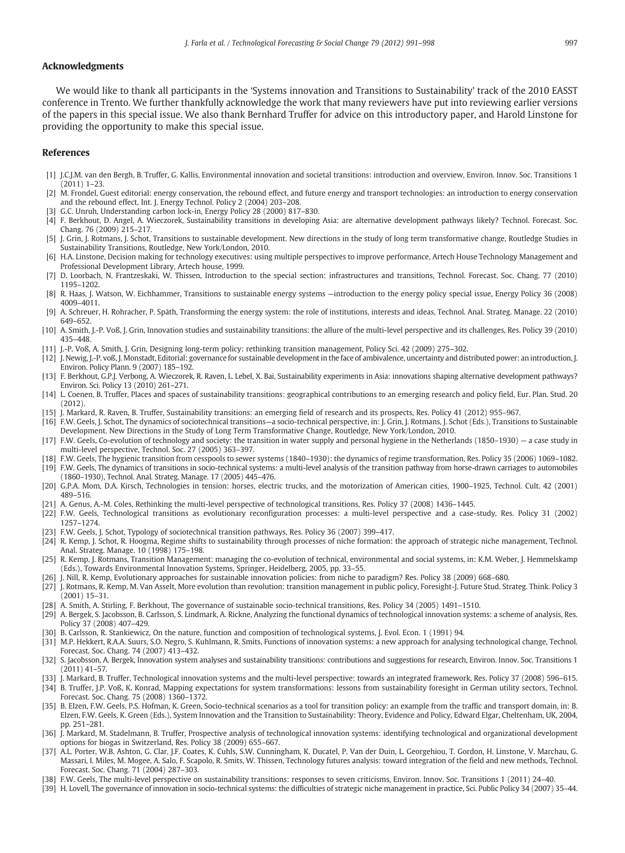#### <span id="page-6-0"></span>Acknowledgments

We would like to thank all participants in the 'Systems innovation and Transitions to Sustainability' track of the 2010 EASST conference in Trento. We further thankfully acknowledge the work that many reviewers have put into reviewing earlier versions of the papers in this special issue. We also thank Bernhard Truffer for advice on this introductory paper, and Harold Linstone for providing the opportunity to make this special issue.

#### References

- [1] J.C.J.M. van den Bergh, B. Truffer, G. Kallis, Environmental innovation and societal transitions: introduction and overview, Environ. Innov. Soc. Transitions 1 (2011) 1–23.
- [2] M. Frondel, Guest editorial: energy conservation, the rebound effect, and future energy and transport technologies: an introduction to energy conservation and the rebound effect, Int. J. Energy Technol. Policy 2 (2004) 203–208.
- [3] G.C. Unruh, Understanding carbon lock-in, Energy Policy 28 (2000) 817–830.
- [4] F. Berkhout, D. Angel, A. Wieczorek, Sustainability transitions in developing Asia: are alternative development pathways likely? Technol. Forecast. Soc. Chang. 76 (2009) 215–217.
- [5] J. Grin, J. Rotmans, J. Schot, Transitions to sustainable development. New directions in the study of long term transformative change, Routledge Studies in Sustainability Transitions, Routledge, New York/London, 2010.
- [6] H.A. Linstone, Decision making for technology executives: using multiple perspectives to improve performance, Artech House Technology Management and Professional Development Library, Artech house, 1999.
- [7] D. Loorbach, N. Frantzeskaki, W. Thissen, Introduction to the special section: infrastructures and transitions, Technol. Forecast. Soc. Chang. 77 (2010) 1195–1202.
- [8] R. Haas, J. Watson, W. Eichhammer, Transitions to sustainable energy systems —introduction to the energy policy special issue, Energy Policy 36 (2008) 4009–4011.
- [9] A. Schreuer, H. Rohracher, P. Späth, Transforming the energy system: the role of institutions, interests and ideas, Technol. Anal. Strateg. Manage. 22 (2010) 649–652.
- [10] A. Smith, J.-P. Voß, J. Grin, Innovation studies and sustainability transitions: the allure of the multi-level perspective and its challenges, Res. Policy 39 (2010) 435–448.
- [11] J.-P. Voß, A. Smith, J. Grin, Designing long-term policy: rethinking transition management, Policy Sci. 42 (2009) 275–302.
- [12] J. Newig, J.-P. voß, J. Monstadt, Editorial: governance for sustainable development in the face of ambivalence, uncertainty and distributed power: an introduction, J. Environ. Policy Plann. 9 (2007) 185–192.
- [13] F. Berkhout, G.P.J. Verbong, A. Wieczorek, R. Raven, L. Lebel, X. Bai, Sustainability experiments in Asia: innovations shaping alternative development pathways? Environ. Sci. Policy 13 (2010) 261–271.
- [14] L. Coenen, B. Truffer, Places and spaces of sustainability transitions: geographical contributions to an emerging research and policy field, Eur. Plan. Stud. 20  $(2012)$
- [15] J. Markard, R. Raven, B. Truffer, Sustainability transitions: an emerging field of research and its prospects, Res. Policy 41 (2012) 955-967.
- [16] F.W. Geels, J. Schot, The dynamics of sociotechnical transitions—a socio-technical perspective, in: J. Grin, J. Rotmans, J. Schot (Eds.), Transitions to Sustainable Development. New Directions in the Study of Long Term Transformative Change, Routledge, New York/London, 2010.
- [17] F.W. Geels, Co-evolution of technology and society: the transition in water supply and personal hygiene in the Netherlands (1850–1930) a case study in multi-level perspective, Technol. Soc. 27 (2005) 363–397.
- [18] F.W. Geels, The hygienic transition from cesspools to sewer systems (1840–1930): the dynamics of regime transformation, Res. Policy 35 (2006) 1069–1082. [19] F.W. Geels, The dynamics of transitions in socio-technical systems: a multi-level analysis of the transition pathway from horse-drawn carriages to automobiles (1860–1930), Technol. Anal. Strateg. Manage. 17 (2005) 445–476.
- [20] G.P.A. Mom, D.A. Kirsch, Technologies in tension: horses, electric trucks, and the motorization of American cities, 1900–1925, Technol. Cult. 42 (2001) 489–516.
- [21] A. Genus, A.-M. Coles, Rethinking the multi-level perspective of technological transitions, Res. Policy 37 (2008) 1436–1445.
- [22] F.W. Geels, Technological transitions as evolutionary reconfiguration processes: a multi-level perspective and a case-study, Res. Policy 31 (2002) 1257–1274.
- [23] F.W. Geels, J. Schot, Typology of sociotechnical transition pathways, Res. Policy 36 (2007) 399–417.
- [24] R. Kemp, J. Schot, R. Hoogma, Regime shifts to sustainability through processes of niche formation: the approach of strategic niche management, Technol. Anal. Strateg. Manage. 10 (1998) 175–198.
- [25] R. Kemp, J. Rotmans, Transition Management: managing the co-evolution of technical, environmental and social systems, in: K.M. Weber, J. Hemmelskamp (Eds.), Towards Environmental Innovation Systems, Springer, Heidelberg, 2005, pp. 33–55.
- [26] J. Nill, R. Kemp, Evolutionary approaches for sustainable innovation policies: from niche to paradigm? Res. Policy 38 (2009) 668–680.
- [27] J. Rotmans, R. Kemp, M. Van Asselt, More evolution than revolution: transition management in public policy, Foresight-J. Future Stud. Strateg. Think. Policy 3 (2001) 15–31.
- [28] A. Smith, A. Stirling, F. Berkhout, The governance of sustainable socio-technical transitions, Res. Policy 34 (2005) 1491–1510.
- [29] A. Bergek, S. Jacobsson, B. Carlsson, S. Lindmark, A. Rickne, Analyzing the functional dynamics of technological innovation systems: a scheme of analysis, Res. Policy 37 (2008) 407–429.
- [30] B. Carlsson, R. Stankiewicz, On the nature, function and composition of technological systems, J. Evol. Econ. 1 (1991) 94.
- [31] M.P. Hekkert, R.A.A. Suurs, S.O. Negro, S. Kuhlmann, R. Smits, Functions of innovation systems: a new approach for analysing technological change, Technol. Forecast. Soc. Chang. 74 (2007) 413–432.
- [32] S. Jacobsson, A. Bergek, Innovation system analyses and sustainability transitions: contributions and suggestions for research, Environ, Innov. Soc. Transitions 1 (2011) 41–57.
- [33] J. Markard, B. Truffer, Technological innovation systems and the multi-level perspective: towards an integrated framework, Res. Policy 37 (2008) 596–615.
- [34] B. Truffer, J.P. Voß, K. Konrad, Mapping expectations for system transformations: lessons from sustainability foresight in German utility sectors, Technol. Forecast. Soc. Chang. 75 (2008) 1360–1372.
- [35] B. Elzen, F.W. Geels, P.S. Hofman, K. Green, Socio-technical scenarios as a tool for transition policy: an example from the traffic and transport domain, in: B. Elzen, F.W. Geels, K. Green (Eds.), System Innovation and the Transition to Sustainability: Theory, Evidence and Policy, Edward Elgar, Cheltenham, UK, 2004, pp. 251–281.
- [36] J. Markard, M. Stadelmann, B. Truffer, Prospective analysis of technological innovation systems: identifying technological and organizational development options for biogas in Switzerland, Res. Policy 38 (2009) 655–667.
- [37] A.L. Porter, W.B. Ashton, G. Clar, J.F. Coates, K. Cuhls, S.W. Cunningham, K. Ducatel, P. Van der Duin, L. Georgehiou, T. Gordon, H. Linstone, V. Marchau, G. Massari, I. Miles, M. Mogee, A. Salo, F. Scapolo, R. Smits, W. Thissen, Technology futures analysis: toward integration of the field and new methods, Technol. Forecast. Soc. Chang. 71 (2004) 287–303.
- [38] F.W. Geels, The multi-level perspective on sustainability transitions: responses to seven criticisms, Environ. Innov. Soc. Transitions 1 (2011) 24–40.
- [39] H. Lovell, The governance of innovation in socio-technical systems: the difficulties of strategic niche management in practice, Sci. Public Policy 34 (2007) 35–44.